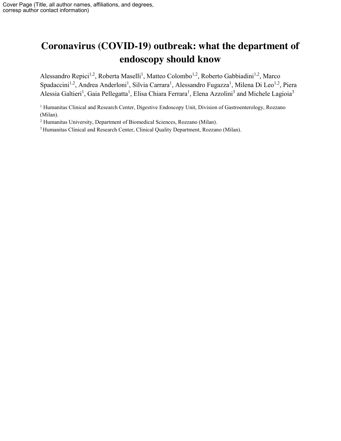# **Coronavirus (COVID-19) outbreak: what the department of endoscopy should know**

Alessandro Repici<sup>1,2</sup>, Roberta Maselli<sup>1</sup>, Matteo Colombo<sup>1,2</sup>, Roberto Gabbiadini<sup>1,2</sup>, Marco Spadaccini<sup>1,2</sup>, Andrea Anderloni<sup>1</sup>, Silvia Carrara<sup>1</sup>, Alessandro Fugazza<sup>1</sup>, Milena Di Leo<sup>1,2</sup>, Piera Alessia Galtieri<sup>1</sup>, Gaia Pellegatta<sup>1</sup>, Elisa Chiara Ferrara<sup>1</sup>, Elena Azzolini<sup>3</sup> and Michele Lagioia<sup>3</sup>

<sup>1</sup> Humanitas Clinical and Research Center, Digestive Endoscopy Unit, Division of Gastroenterology, Rozzano (Milan).

<sup>2</sup> Humanitas University, Department of Biomedical Sciences, Rozzano (Milan).

<sup>3</sup> Humanitas Clinical and Research Center, Clinical Quality Department, Rozzano (Milan).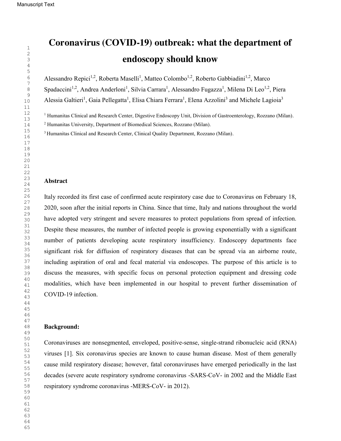# **Coronavirus (COVID-19) outbreak: what the department of endoscopy should know**

Alessandro Repici<sup>1,2</sup>, Roberta Maselli<sup>1</sup>, Matteo Colombo<sup>1,2</sup>, Roberto Gabbiadini<sup>1,2</sup>, Marco

Spadaccini<sup>1,2</sup>, Andrea Anderloni<sup>1</sup>, Silvia Carrara<sup>1</sup>, Alessandro Fugazza<sup>1</sup>, Milena Di Leo<sup>1,2</sup>, Piera

Alessia Galtieri<sup>1</sup>, Gaia Pellegatta<sup>1</sup>, Elisa Chiara Ferrara<sup>1</sup>, Elena Azzolini<sup>3</sup> and Michele Lagioia<sup>3</sup>

<sup>1</sup> Humanitas Clinical and Research Center, Digestive Endoscopy Unit, Division of Gastroenterology, Rozzano (Milan).

Humanitas University, Department of Biomedical Sciences, Rozzano (Milan).

<sup>3</sup> Humanitas Clinical and Research Center, Clinical Quality Department, Rozzano (Milan).

## **Abstract**

Italy recorded its first case of confirmed acute respiratory case due to Coronavirus on February 18, 2020, soon after the initial reports in China. Since that time, Italy and nations throughout the world have adopted very stringent and severe measures to protect populations from spread of infection. Despite these measures, the number of infected people is growing exponentially with a significant number of patients developing acute respiratory insufficiency. Endoscopy departments face significant risk for diffusion of respiratory diseases that can be spread via an airborne route, including aspiration of oral and fecal material via endoscopes. The purpose of this article is to discuss the measures, with specific focus on personal protection equipment and dressing code modalities, which have been implemented in our hospital to prevent further dissemination of COVID-19 infection.

### **Background:**

Coronaviruses are nonsegmented, enveloped, positive-sense, single-strand ribonucleic acid (RNA) viruses [1]. Six coronavirus species are known to cause human disease. Most of them generally cause mild respiratory disease; however, fatal coronaviruses have emerged periodically in the last decades (severe acute respiratory syndrome coronavirus -SARS-CoV- in 2002 and the Middle East respiratory syndrome coronavirus -MERS-CoV- in 2012).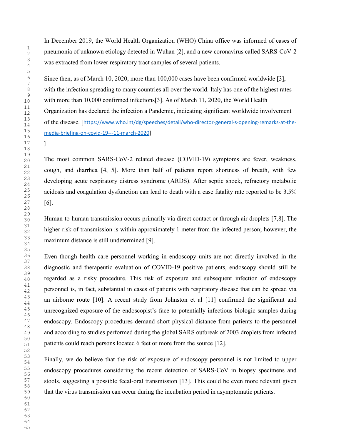]

In December 2019, the World Health Organization (WHO) China office was informed of cases of pneumonia of unknown etiology detected in Wuhan [2], and a new coronavirus called SARS-CoV-2 was extracted from lower respiratory tract samples of several patients.

Since then, as of March 10, 2020, more than 100,000 cases have been confirmed worldwide [3], with the infection spreading to many countries all over the world. Italy has one of the highest rates with more than 10,000 confirmed infections[3]. As of March 11, 2020, the World Health Organization has declared the infection a Pandemic, indicating significant worldwide involvement of the disease. [https://www.who.int/dg/speeches/detail/who-director-general-s-opening-remarks-at-themedia-briefing-on-covid-19---11-march-2020]

The most common SARS-CoV-2 related disease (COVID-19) symptoms are fever, weakness, cough, and diarrhea [4, 5]. More than half of patients report shortness of breath, with few developing acute respiratory distress syndrome (ARDS). After septic shock, refractory metabolic acidosis and coagulation dysfunction can lead to death with a case fatality rate reported to be 3.5% [6].

Human-to-human transmission occurs primarily via direct contact or through air droplets [7,8]. The higher risk of transmission is within approximately 1 meter from the infected person; however, the maximum distance is still undetermined [9].

Even though health care personnel working in endoscopy units are not directly involved in the diagnostic and therapeutic evaluation of COVID-19 positive patients, endoscopy should still be regarded as a risky procedure. This risk of exposure and subsequent infection of endoscopy personnel is, in fact, substantial in cases of patients with respiratory disease that can be spread via an airborne route [10]. A recent study from Johnston et al [11] confirmed the significant and unrecognized exposure of the endoscopist's face to potentially infectious biologic samples during endoscopy. Endoscopy procedures demand short physical distance from patients to the personnel and according to studies performed during the global SARS outbreak of 2003 droplets from infected patients could reach persons located 6 feet or more from the source [12].

Finally, we do believe that the risk of exposure of endoscopy personnel is not limited to upper endoscopy procedures considering the recent detection of SARS-CoV in biopsy specimens and stools, suggesting a possible fecal-oral transmission [13]. This could be even more relevant given that the virus transmission can occur during the incubation period in asymptomatic patients.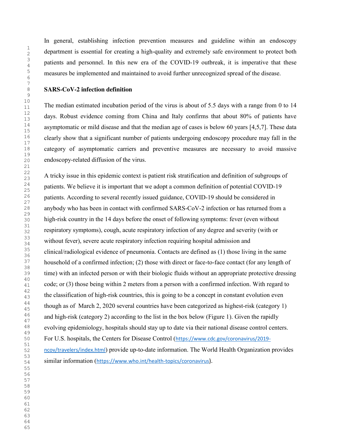In general, establishing infection prevention measures and guideline within an endoscopy department is essential for creating a high-quality and extremely safe environment to protect both patients and personnel. In this new era of the COVID-19 outbreak, it is imperative that these measures be implemented and maintained to avoid further unrecognized spread of the disease.

### **SARS-CoV-2 infection definition**

The median estimated incubation period of the virus is about of 5.5 days with a range from 0 to 14 days. Robust evidence coming from China and Italy confirms that about 80% of patients have asymptomatic or mild disease and that the median age of cases is below 60 years [4,5,7]. These data clearly show that a significant number of patients undergoing endoscopy procedure may fall in the category of asymptomatic carriers and preventive measures are necessary to avoid massive endoscopy-related diffusion of the virus.

A tricky issue in this epidemic context is patient risk stratification and definition of subgroups of patients. We believe it is important that we adopt a common definition of potential COVID-19 patients. According to several recently issued guidance, COVID-19 should be considered in anybody who has been in contact with confirmed SARS-CoV-2 infection or has returned from a high-risk country in the 14 days before the onset of following symptoms: fever (even without respiratory symptoms), cough, acute respiratory infection of any degree and severity (with or without fever), severe acute respiratory infection requiring hospital admission and clinical/radiological evidence of pneumonia. Contacts are defined as (1) those living in the same household of a confirmed infection; (2) those with direct or face-to-face contact (for any length of time) with an infected person or with their biologic fluids without an appropriate protective dressing code; or (3) those being within 2 meters from a person with a confirmed infection. With regard to the classification of high-risk countries, this is going to be a concept in constant evolution even though as of March 2, 2020 several countries have been categorized as highest-risk (category 1) and high-risk (category 2) according to the list in the box below (Figure 1). Given the rapidly evolving epidemiology, hospitals should stay up to date via their national disease control centers. For U.S. hospitals, the Centers for Disease Control (https://www.cdc.gov/coronavirus/2019 ncov/travelers/index.html) provide up-to-date information. The World Health Organization provides similar information (https://www.who.int/health-topics/coronavirus).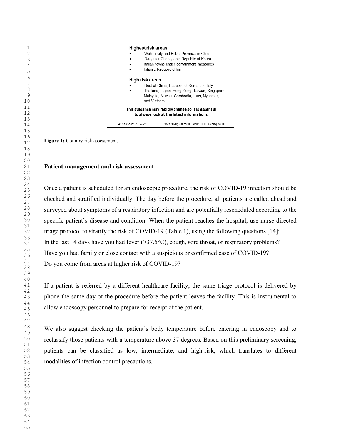**Highest risk areas:** Wuhan city and Hubei Province in China. Daegu or Cheongdoin Republic of Korea Italian towns under containment measures Islamic Republic of Iran **High risk areas** Rest of China, Republic of Korea and Italy Thailand, Japan, Hong Kong, Taiwan, Singapore, Malaysia, Macau, Cambodia, Laos, Myanmar, and Vietnam. This guidance may rapidly change so it is essential to always look at the latest informations. As of March 2nd 2020 BMJ 2020;368:m800 doi:10.1136/bmj.m800

**Figure 1:** Country risk assessment.

### **Patient management and risk assessment**

Once a patient is scheduled for an endoscopic procedure, the risk of COVID-19 infection should be checked and stratified individually. The day before the procedure, all patients are called ahead and surveyed about symptoms of a respiratory infection and are potentially rescheduled according to the specific patient's disease and condition. When the patient reaches the hospital, use nurse-directed triage protocol to stratify the risk of COVID-19 (Table 1), using the following questions [14]: In the last 14 days have you had fever  $(37.5^{\circ}C)$ , cough, sore throat, or respiratory problems? Have you had family or close contact with a suspicious or confirmed case of COVID-19? Do you come from areas at higher risk of COVID-19?

If a patient is referred by a different healthcare facility, the same triage protocol is delivered by phone the same day of the procedure before the patient leaves the facility. This is instrumental to allow endoscopy personnel to prepare for receipt of the patient.

We also suggest checking the patient's body temperature before entering in endoscopy and to reclassify those patients with a temperature above 37 degrees. Based on this preliminary screening, patients can be classified as low, intermediate, and high-risk, which translates to different modalities of infection control precautions.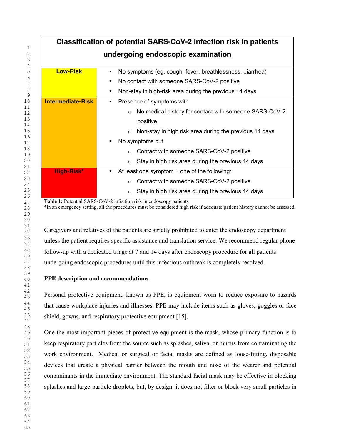| Classification of potential SARS-CoV-2 infection risk in patients |                                                                          |  |
|-------------------------------------------------------------------|--------------------------------------------------------------------------|--|
|                                                                   | undergoing endoscopic examination                                        |  |
|                                                                   |                                                                          |  |
| <b>Low-Risk</b>                                                   | No symptoms (eg, cough, fever, breathlessness, diarrhea)<br>٠            |  |
|                                                                   | No contact with someone SARS-CoV-2 positive<br>$\blacksquare$            |  |
|                                                                   | Non-stay in high-risk area during the previous 14 days<br>$\blacksquare$ |  |
| <b>Intermediate-Risk</b>                                          | Presence of symptoms with<br>٠                                           |  |
|                                                                   | No medical history for contact with someone SARS-CoV-2<br>$\circ$        |  |
|                                                                   | positive                                                                 |  |
|                                                                   | Non-stay in high risk area during the previous 14 days                   |  |
|                                                                   | No symptoms but<br>٠                                                     |  |
|                                                                   | Contact with someone SARS-CoV-2 positive<br>$\circ$                      |  |
|                                                                   | Stay in high risk area during the previous 14 days<br>$\circ$            |  |
| High-Risk*                                                        | At least one symptom $+$ one of the following:<br>٠                      |  |
|                                                                   | Contact with someone SARS-CoV-2 positive<br>$\circ$                      |  |
|                                                                   | Stay in high risk area during the previous 14 days<br>$\circ$            |  |

Table 1: Potential SARS-CoV-2 infection risk in endoscopy patients

\*in an emergency setting, all the procedures must be considered high risk if adequate patient history cannot be assessed.

Caregivers and relatives of the patients are strictly prohibited to enter the endoscopy department unless the patient requires specific assistance and translation service. We recommend regular phone follow-up with a dedicated triage at 7 and 14 days after endoscopy procedure for all patients undergoing endoscopic procedures until this infectious outbreak is completely resolved.

# **PPE description and recommendations**

Personal protective equipment, known as PPE, is equipment worn to reduce exposure to hazards that cause workplace injuries and illnesses. PPE may include items such as gloves, goggles or face shield, gowns, and respiratory protective equipment [15].

One the most important pieces of protective equipment is the mask, whose primary function is to keep respiratory particles from the source such as splashes, saliva, or mucus from contaminating the work environment. Medical or surgical or facial masks are defined as loose-fitting, disposable devices that create a physical barrier between the mouth and nose of the wearer and potential contaminants in the immediate environment. The standard facial mask may be effective in blocking splashes and large-particle droplets, but, by design, it does not filter or block very small particles in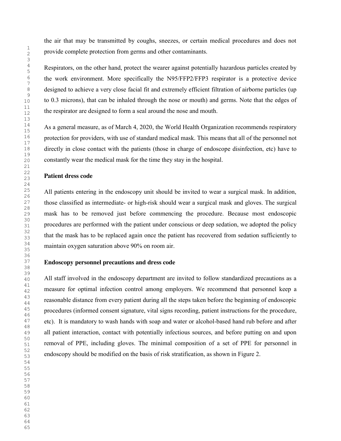the air that may be transmitted by coughs, sneezes, or certain medical procedures and does not provide complete protection from germs and other contaminants.

Respirators, on the other hand, protect the wearer against potentially hazardous particles created by the work environment. More specifically the N95/FFP2/FFP3 respirator is a protective device designed to achieve a very close facial fit and extremely efficient filtration of airborne particles (up to 0.3 microns), that can be inhaled through the nose or mouth) and germs. Note that the edges of the respirator are designed to form a seal around the nose and mouth.

As a general measure, as of March 4, 2020, the World Health Organization recommends respiratory protection for providers, with use of standard medical mask. This means that all of the personnel not directly in close contact with the patients (those in charge of endoscope disinfection, etc) have to constantly wear the medical mask for the time they stay in the hospital.

### **Patient dress code**

All patients entering in the endoscopy unit should be invited to wear a surgical mask. In addition, those classified as intermediate- or high-risk should wear a surgical mask and gloves. The surgical mask has to be removed just before commencing the procedure. Because most endoscopic procedures are performed with the patient under conscious or deep sedation, we adopted the policy that the mask has to be replaced again once the patient has recovered from sedation sufficiently to maintain oxygen saturation above 90% on room air.

### **Endoscopy personnel precautions and dress code**

All staff involved in the endoscopy department are invited to follow standardized precautions as a measure for optimal infection control among employers. We recommend that personnel keep a reasonable distance from every patient during all the steps taken before the beginning of endoscopic procedures (informed consent signature, vital signs recording, patient instructions for the procedure, etc). It is mandatory to wash hands with soap and water or alcohol-based hand rub before and after all patient interaction, contact with potentially infectious sources, and before putting on and upon removal of PPE, including gloves. The minimal composition of a set of PPE for personnel in endoscopy should be modified on the basis of risk stratification, as shown in Figure 2.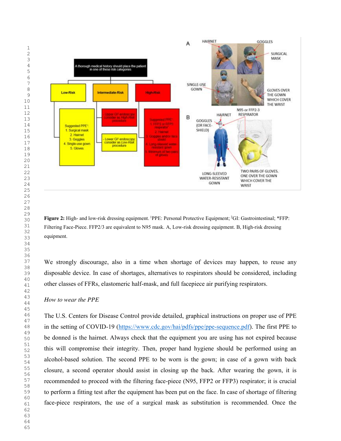

Figure 2: High- and low-risk dressing equipment. <sup>1</sup>PPE: Personal Protective Equipment; <sup>2</sup>GI: Gastrointestinal; \*FFP: Filtering Face-Piece. FFP2/3 are equivalent to N95 mask. A, Low-risk dressing equipment. B, High-risk dressing equipment.

We strongly discourage, also in a time when shortage of devices may happen, to reuse any disposable device. In case of shortages, alternatives to respirators should be considered, including other classes of FFRs, elastomeric half-mask, and full facepiece air purifying respirators.

### *How to wear the PPE*

The U.S. Centers for Disease Control provide detailed, graphical instructions on proper use of PPE in the setting of COVID-19 (https://www.cdc.gov/hai/pdfs/ppe/ppe-sequence.pdf). The first PPE to be donned is the hairnet. Always check that the equipment you are using has not expired because this will compromise their integrity. Then, proper hand hygiene should be performed using an alcohol-based solution. The second PPE to be worn is the gown; in case of a gown with back closure, a second operator should assist in closing up the back. After wearing the gown, it is recommended to proceed with the filtering face-piece (N95, FFP2 or FFP3) respirator; it is crucial to perform a fitting test after the equipment has been put on the face. In case of shortage of filtering face-piece respirators, the use of a surgical mask as substitution is recommended. Once the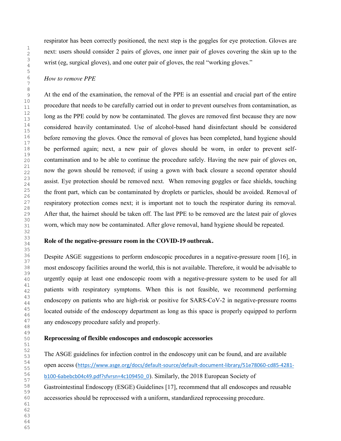respirator has been correctly positioned, the next step is the goggles for eye protection. Gloves are next: users should consider 2 pairs of gloves, one inner pair of gloves covering the skin up to the wrist (eg, surgical gloves), and one outer pair of gloves, the real "working gloves."

### *How to remove PPE*

At the end of the examination, the removal of the PPE is an essential and crucial part of the entire procedure that needs to be carefully carried out in order to prevent ourselves from contamination, as long as the PPE could by now be contaminated. The gloves are removed first because they are now considered heavily contaminated. Use of alcohol-based hand disinfectant should be considered before removing the gloves. Once the removal of gloves has been completed, hand hygiene should be performed again; next, a new pair of gloves should be worn, in order to prevent selfcontamination and to be able to continue the procedure safely. Having the new pair of gloves on, now the gown should be removed; if using a gown with back closure a second operator should assist. Eye protection should be removed next. When removing goggles or face shields, touching the front part, which can be contaminated by droplets or particles, should be avoided. Removal of respiratory protection comes next; it is important not to touch the respirator during its removal. After that, the hairnet should be taken off. The last PPE to be removed are the latest pair of gloves worn, which may now be contaminated. After glove removal, hand hygiene should be repeated.

### **Role of the negative-pressure room in the COVID-19 outbreak.**

Despite ASGE suggestions to perform endoscopic procedures in a negative-pressure room [16], in most endoscopy facilities around the world, this is not available. Therefore, it would be advisable to urgently equip at least one endoscopic room with a negative-pressure system to be used for all patients with respiratory symptoms. When this is not feasible, we recommend performing endoscopy on patients who are high-risk or positive for SARS-CoV-2 in negative-pressure rooms located outside of the endoscopy department as long as this space is properly equipped to perform any endoscopy procedure safely and properly.

### **Reprocessing of flexible endoscopes and endoscopic accessories**

The ASGE guidelines for infection control in the endoscopy unit can be found, and are available open access (https://www.asge.org/docs/default-source/default-document-library/51e78060-cd85-4281 b100-6abebcb04c49.pdf?sfvrsn=4c109450\_0). Similarly, the 2018 European Society of Gastrointestinal Endoscopy (ESGE) Guidelines [17], recommend that all endoscopes and reusable accessories should be reprocessed with a uniform, standardized reprocessing procedure.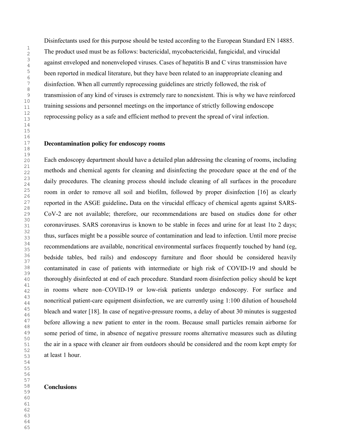Disinfectants used for this purpose should be tested according to the European Standard EN 14885. The product used must be as follows: bactericidal, mycobactericidal, fungicidal, and virucidal against enveloped and nonenveloped viruses. Cases of hepatitis B and C virus transmission have been reported in medical literature, but they have been related to an inappropriate cleaning and disinfection. When all currently reprocessing guidelines are strictly followed, the risk of transmission of any kind of viruses is extremely rare to nonexistent. This is why we have reinforced training sessions and personnel meetings on the importance of strictly following endoscope reprocessing policy as a safe and efficient method to prevent the spread of viral infection.

# **Decontamination policy for endoscopy rooms**

Each endoscopy department should have a detailed plan addressing the cleaning of rooms, including methods and chemical agents for cleaning and disinfecting the procedure space at the end of the daily procedures. The cleaning process should include cleaning of all surfaces in the procedure room in order to remove all soil and biofilm, followed by proper disinfection [16] as clearly reported in the ASGE guideline**.** Data on the virucidal efficacy of chemical agents against SARS-CoV-2 are not available; therefore, our recommendations are based on studies done for other coronaviruses. SARS coronavirus is known to be stable in feces and urine for at least 1to 2 days; thus, surfaces might be a possible source of contamination and lead to infection. Until more precise recommendations are available, noncritical environmental surfaces frequently touched by hand (eg, bedside tables, bed rails) and endoscopy furniture and floor should be considered heavily contaminated in case of patients with intermediate or high risk of COVID-19 and should be thoroughly disinfected at end of each procedure. Standard room disinfection policy should be kept in rooms where non–COVID-19 or low-risk patients undergo endoscopy. For surface and noncritical patient-care equipment disinfection, we are currently using 1:100 dilution of household bleach and water [18]. In case of negative-pressure rooms, a delay of about 30 minutes is suggested before allowing a new patient to enter in the room. Because small particles remain airborne for some period of time, in absence of negative pressure rooms alternative measures such as diluting the air in a space with cleaner air from outdoors should be considered and the room kept empty for at least 1 hour.

### **Conclusions**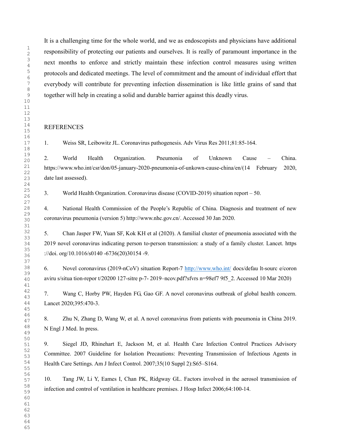It is a challenging time for the whole world, and we as endoscopists and physicians have additional responsibility of protecting our patients and ourselves. It is really of paramount importance in the next months to enforce and strictly maintain these infection control measures using written protocols and dedicated meetings. The level of commitment and the amount of individual effort that everybody will contribute for preventing infection dissemination is like little grains of sand that together will help in creating a solid and durable barrier against this deadly virus.

# **REFERENCES**

1. Weiss SR, Leibowitz JL. Coronavirus pathogenesis. Adv Virus Res 2011;81:85-164.

2. World Health Organization. Pneumonia of Unknown Cause – China. https://www.who.int/csr/don/05-january-2020-pneumonia-of-unkown-cause-china/en/(14 February 2020, date last assessed).

3. World Health Organization. Coronavirus disease (COVID-2019) situation report – 50.

4. National Health Commission of the People's Republic of China. Diagnosis and treatment of new coronavirus pneumonia (version 5) http://www.nhc.gov.cn/. Accessed 30 Jan 2020.

5. Chan Jasper FW, Yuan SF, Kok KH et al (2020). A familial cluster of pneumonia associated with the 2019 novel coronavirus indicating person to-person transmission: a study of a family cluster. Lancet. https ://doi. org/10.1016/s0140 -6736(20)30154 -9.

6. Novel coronavirus (2019-nCoV) situation Report-7 http://www.who.int/ docs/defau lt-sourc e/coron aviru s/situa tion-repor t/20200 127-sitre p-7- 2019–ncov.pdf?sfvrs n=98ef7 9f5\_2. Accessed 10 Mar 2020)

7. Wang C, Horby PW, Hayden FG, Gao GF. A novel coronavirus outbreak of global health concern. Lancet 2020;395:470-3.

8. Zhu N, Zhang D, Wang W, et al. A novel coronavirus from patients with pneumonia in China 2019. N Engl J Med. In press.

9. Siegel JD, Rhinehart E, Jackson M, et al. Health Care Infection Control Practices Advisory Committee. 2007 Guideline for Isolation Precautions: Preventing Transmission of Infectious Agents in Health Care Settings. Am J Infect Control. 2007;35(10 Suppl 2):S65–S164.

10. Tang JW, Li Y, Eames I, Chan PK, Ridgway GL. Factors involved in the aerosol transmission of infection and control of ventilation in healthcare premises. J Hosp Infect 2006;64:100-14.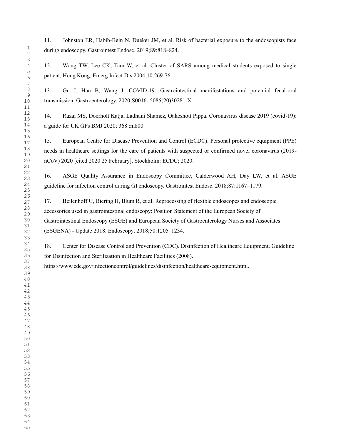11. Johnston ER, Habib-Bein N, Dueker JM, et al. Risk of bacterial exposure to the endoscopists face during endoscopy. Gastrointest Endosc. 2019;89:818–824.

12. Wong TW, Lee CK, Tam W, et al. Cluster of SARS among medical students exposed to single patient, Hong Kong. Emerg Infect Dis 2004;10:269-76.

13. Gu J, Han B, Wang J. COVID-19: Gastrointestinal manifestations and potential fecal-oral transmission. Gastroenterology. 2020;S0016- 5085(20)30281-X.

14. Razai MS, Doerholt Katja, Ladhani Shamez, Oakeshott Pippa. Coronavirus disease 2019 (covid-19): a guide for UK GPs BMJ 2020; 368 :m800.

15. European Centre for Disease Prevention and Control (ECDC). Personal protective equipment (PPE) needs in healthcare settings for the care of patients with suspected or confirmed novel coronavirus (2019 nCoV) 2020 [cited 2020 25 February]. Stockholm: ECDC; 2020.

16. ASGE Quality Assurance in Endoscopy Committee, Calderwood AH, Day LW, et al. ASGE guideline for infection control during GI endoscopy. Gastrointest Endosc. 2018;87:1167–1179.

17. Beilenhoff U, Biering H, Blum R, et al. Reprocessing of flexible endoscopes and endoscopic accessories used in gastrointestinal endoscopy: Position Statement of the European Society of Gastrointestinal Endoscopy (ESGE) and European Society of Gastroenterology Nurses and Associates (ESGENA) - Update 2018. Endoscopy. 2018;50:1205–1234.

18. Center for Disease Control and Prevention (CDC). Disinfection of Healthcare Equipment. Guideline for Disinfection and Sterilization in Healthcare Facilities (2008).

https://www.cdc.gov/infectioncontrol/guidelines/disinfection/healthcare-equipment.html.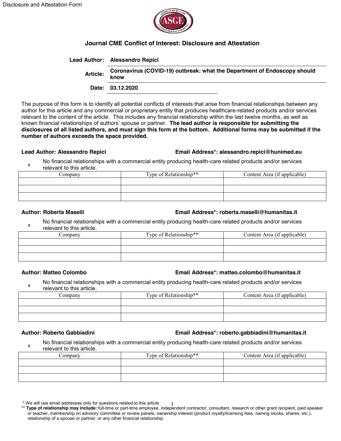

# **Journal CME Conflict of Interest: Disclosure and Attestation**

### **Lead Author: Alessandro Repici**

| <b>Article:</b> | Coronavirus (COVID-19) outbreak: what the Department of Endoscopy should<br>know |
|-----------------|----------------------------------------------------------------------------------|
|-----------------|----------------------------------------------------------------------------------|

**Date: 03.12.2020**

The purpose of this form is to identify all potential conflicts of interests that arise from financial relationships between any author for this article and any commercial or proprietary entity that produces healthcare-related products and/or services relevant to the content of the article. This includes any financial relationship within the last twelve months, as well as known financial relationships of authors' spouse or partner. **The lead author is responsible for submitting the disclosures of all listed authors, and must sign this form at the bottom. Additional forms may be submitted if the number of authors exceeds the space provided.**

## **Lead Author: Alessandro Repici Email Address\*: alessandro.repici@hunimed.eu**

x No financial relationships with a commercial entity producing health-care related products and/or services relevant to this article.

| ∴ompanv | Type of Relationship** | Content Area (if applicable) |
|---------|------------------------|------------------------------|
|         |                        |                              |
|         |                        |                              |
|         |                        |                              |

## **Author: Roberta Maselli Email Address\*: roberta.maselli@humanitas.it**

No financial relationships with a commercial entity producing health-care related products and/or services relevant to this article.

| ∠ompanv | Type of Relationship** | Content Area (if applicable) |
|---------|------------------------|------------------------------|
|         |                        |                              |
|         |                        |                              |
|         |                        |                              |

# **Author: Matteo Colombo Email Address\*: matteo.colombo@humanitas.it**

x No financial relationships with a commercial entity producing health-care related products and/or services relevant to this article.

| .`ompany | Type of Relationship** | Content Area (if applicable) |
|----------|------------------------|------------------------------|
|          |                        |                              |
|          |                        |                              |
|          |                        |                              |

### **Author: Roberto Gabbiadini Email Address\*: roberto.gabbiadini@humanitas.it**

x No financial relationships with a commercial entity producing health-care related products and/or services relevant to this article.

| ∠ompanv | Type of Relationship** | Content Area (if applicable) |
|---------|------------------------|------------------------------|
|         |                        |                              |
|         |                        |                              |
|         |                        |                              |

<sup>\*</sup> We will use email addresses only for questions related to this article

<sup>\*</sup> We will use email addresses only for questions related to this article 1<br>\*\* Type of relationship may include: full-time or part-time employee, independent contractor, consultant, research or other grant recipient, paid s or teacher, membership on advisory committee or review panels, ownership interest (product royalty/licensing fees, owning stocks, shares, etc.), relationship of a spouse or partner, or any other financial relationship.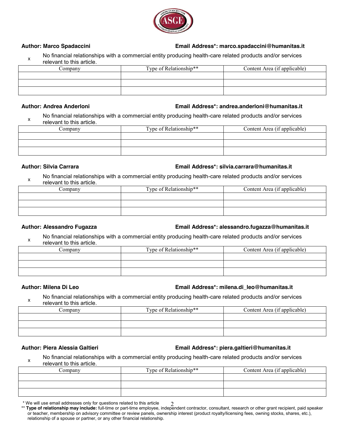

## **Author: Marco Spadaccini Email Address\*: marco.spadaccini@humanitas.it**

No financial relationships with a commercial entity producing health-care related products and/or services relevant to this article.

| Jompany | Type of Relationship** | Content Area (if applicable) |
|---------|------------------------|------------------------------|
|         |                        |                              |
|         |                        |                              |
|         |                        |                              |

### **Author: Andrea Anderloni Email Address\*: andrea.anderloni@humanitas.it**

x No financial relationships with a commercial entity producing health-care related products and/or services relevant to this article.

| Company | Type of Relationship** | Content Area (if applicable) |
|---------|------------------------|------------------------------|
|         |                        |                              |
|         |                        |                              |
|         |                        |                              |

## **Author: Silvia Carrara Email Address\*: silvia.carrara@humanitas.it**

No financial relationships with a commercial entity producing health-care related products and/or services relevant to this article.

| Company | Type of Relationship** | Content Area (if applicable) |
|---------|------------------------|------------------------------|
|         |                        |                              |
|         |                        |                              |
|         |                        |                              |

# **Author: Alessandro Fugazza Email Address\*: alessandro.fugazza@humanitas.it**

x No financial relationships with a commercial entity producing health-care related products and/or services relevant to this article.

| √ompanv | Type of Relationship** | Content Area (if applicable) |
|---------|------------------------|------------------------------|
|         |                        |                              |
|         |                        |                              |
|         |                        |                              |
|         |                        |                              |

# **Author: Milena Di Leo Email Address\*: milena.di\_leo@humanitas.it**

x No financial relationships with a commercial entity producing health-care related products and/or services relevant to this article.

| 'omnany | Type of Relationship** | Content Area (if applicable) |
|---------|------------------------|------------------------------|
|         |                        |                              |
|         |                        |                              |
|         |                        |                              |

### **Author: Piera Alessia Galtieri Email Address\*: piera.galtieri@humanitas.it**

X No financial relationships with a commercial entity producing health-care related products and/or services relevant to this article.

| ∴ompanv | Type of Relationship** | Content Area (if applicable) |
|---------|------------------------|------------------------------|
|         |                        |                              |
|         |                        |                              |
|         |                        |                              |

<sup>\*</sup> We will use email addresses only for questions related to this article

<sup>\*</sup> We will use email addresses only for questions related to this article 2<br>\*\* Type of relationship may include: full-time or part-time employee, independent contractor, consultant, research or other grant recipient, paid s or teacher, membership on advisory committee or review panels, ownership interest (product royalty/licensing fees, owning stocks, shares, etc.), relationship of a spouse or partner, or any other financial relationship.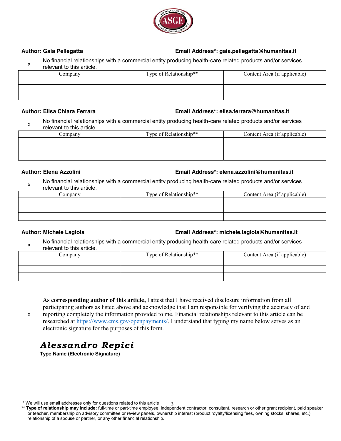

# **Author: Gaia Pellegatta Email Address\*: gaia.pellegatta@humanitas.it**

X No financial relationships with a commercial entity producing health-care related products and/or services relevant to this article.

| ∴ompanv | Type of Relationship** | Content Area (if applicable) |
|---------|------------------------|------------------------------|
|         |                        |                              |
|         |                        |                              |
|         |                        |                              |

### **Author: Elisa Chiara Ferrara Email Address\*: elisa.ferrara@humanitas.it**

No financial relationships with a commercial entity producing health-care related products and/or services relevant to this article.

| Jompany | Type of Relationship** | Content Area (if applicable) |
|---------|------------------------|------------------------------|
|         |                        |                              |
|         |                        |                              |
|         |                        |                              |

# **Author: Elena Azzolini Email Address\*: elena.azzolini@humanitas.it**

No financial relationships with a commercial entity producing health-care related products and/or services relevant to this article.

| ∠ompanv | Type of Relationship** | Content Area (if applicable) |
|---------|------------------------|------------------------------|
|         |                        |                              |
|         |                        |                              |
|         |                        |                              |

# **Author: Michele Lagioia Email Address\*: michele.lagioia@humanitas.it**

x No financial relationships with a commercial entity producing health-care related products and/or services relevant to this article.

| ∠ompanv | Type of Relationship** | Content Area (if applicable) |
|---------|------------------------|------------------------------|
|         |                        |                              |
|         |                        |                              |
|         |                        |                              |

**As corresponding author of this article,** I attest that I have received disclosure information from all participating authors as listed above and acknowledge that I am responsible for verifying the accuracy of and

x

reporting completely the information provided to me. Financial relationships relevant to this article can be researched at https://www.cms.gov/openpayments/. I understand that typing my name below serves as an electronic signature for the purposes of this form.

# *Alessandro Repici*

**Type Name (Electronic Signature)**

<sup>\*</sup> We will use email addresses only for questions related to this article

<sup>\*</sup> We will use email addresses only for questions related to this article 3<br>\*\* Type of relationship may include: full-time or part-time employee, independent contractor, consultant, research or other grant recipient, paid s or teacher, membership on advisory committee or review panels, ownership interest (product royalty/licensing fees, owning stocks, shares, etc.), relationship of a spouse or partner, or any other financial relationship.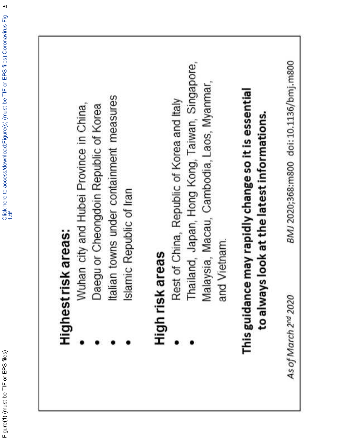$\frac{1}{2}$ 

# Highest risk areas:

- Wuhan city and Hubei Province in China,
- Daegu or Cheongdoin Republic of Korea
- Italian towns under containment measures
	- Islamic Republic of Iran

# High risk areas

- Rest of China, Republic of Korea and Italy
- Thailand, Japan, Hong Kong, Taiwan, Singapore, Malaysia, Macau, Cambodia, Laos, Myanmar, and Vietnam.

# This guidance may rapidly change so it is essential to always look at the latest informations.

As of March 2<sup>nd</sup> 2020

BMJ 2020;368:m800 doi:10.1136/bmj.m800